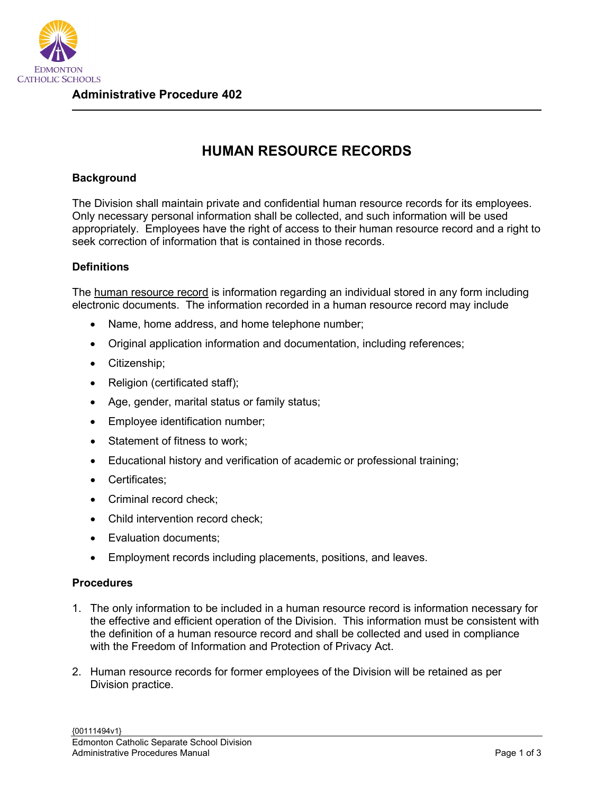

## **HUMAN RESOURCE RECORDS**

## **Background**

The Division shall maintain private and confidential human resource records for its employees. Only necessary personal information shall be collected, and such information will be used appropriately. Employees have the right of access to their human resource record and a right to seek correction of information that is contained in those records.

## **Definitions**

The human resource record is information regarding an individual stored in any form including electronic documents. The information recorded in a human resource record may include

- Name, home address, and home telephone number;
- Original application information and documentation, including references;
- Citizenship;
- Religion (certificated staff);
- Age, gender, marital status or family status;
- Employee identification number;
- Statement of fitness to work;
- Educational history and verification of academic or professional training;
- Certificates;
- Criminal record check;
- Child intervention record check;
- Evaluation documents;
- Employment records including placements, positions, and leaves.

## **Procedures**

- 1. The only information to be included in a human resource record is information necessary for the effective and efficient operation of the Division. This information must be consistent with the definition of a human resource record and shall be collected and used in compliance with the Freedom of Information and Protection of Privacy Act.
- 2. Human resource records for former employees of the Division will be retained as per Division practice.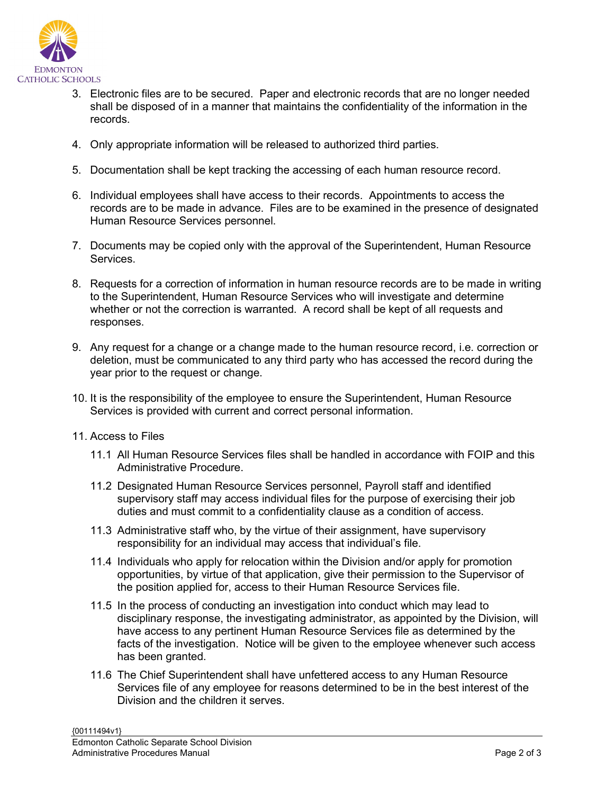

- 3. Electronic files are to be secured. Paper and electronic records that are no longer needed shall be disposed of in a manner that maintains the confidentiality of the information in the records.
- 4. Only appropriate information will be released to authorized third parties.
- 5. Documentation shall be kept tracking the accessing of each human resource record.
- 6. Individual employees shall have access to their records. Appointments to access the records are to be made in advance. Files are to be examined in the presence of designated Human Resource Services personnel.
- 7. Documents may be copied only with the approval of the Superintendent, Human Resource Services.
- 8. Requests for a correction of information in human resource records are to be made in writing to the Superintendent, Human Resource Services who will investigate and determine whether or not the correction is warranted. A record shall be kept of all requests and responses.
- 9. Any request for a change or a change made to the human resource record, i.e. correction or deletion, must be communicated to any third party who has accessed the record during the year prior to the request or change.
- 10. It is the responsibility of the employee to ensure the Superintendent, Human Resource Services is provided with current and correct personal information.
- 11. Access to Files
	- 11.1 All Human Resource Services files shall be handled in accordance with FOIP and this Administrative Procedure.
	- 11.2 Designated Human Resource Services personnel, Payroll staff and identified supervisory staff may access individual files for the purpose of exercising their job duties and must commit to a confidentiality clause as a condition of access.
	- 11.3 Administrative staff who, by the virtue of their assignment, have supervisory responsibility for an individual may access that individual's file.
	- 11.4 Individuals who apply for relocation within the Division and/or apply for promotion opportunities, by virtue of that application, give their permission to the Supervisor of the position applied for, access to their Human Resource Services file.
	- 11.5 In the process of conducting an investigation into conduct which may lead to disciplinary response, the investigating administrator, as appointed by the Division, will have access to any pertinent Human Resource Services file as determined by the facts of the investigation. Notice will be given to the employee whenever such access has been granted.
	- 11.6 The Chief Superintendent shall have unfettered access to any Human Resource Services file of any employee for reasons determined to be in the best interest of the Division and the children it serves.